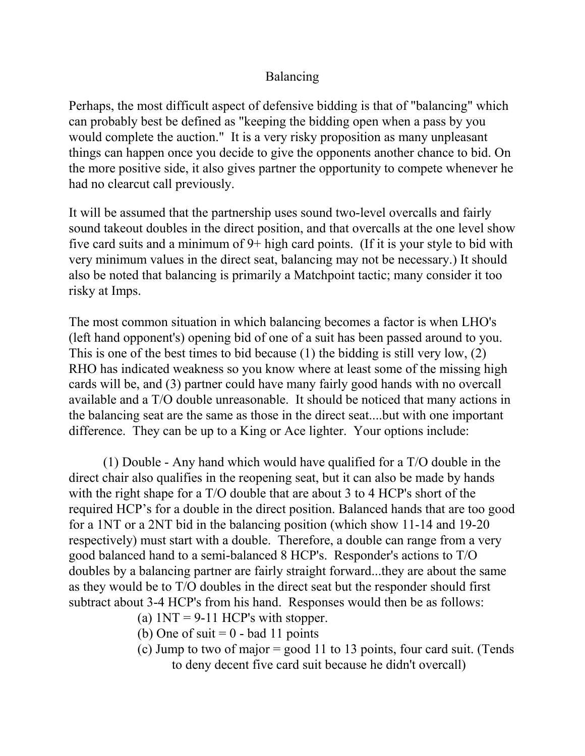## Balancing

Perhaps, the most difficult aspect of defensive bidding is that of "balancing" which can probably best be defined as "keeping the bidding open when a pass by you would complete the auction." It is a very risky proposition as many unpleasant things can happen once you decide to give the opponents another chance to bid. On the more positive side, it also gives partner the opportunity to compete whenever he had no clearcut call previously.

It will be assumed that the partnership uses sound two-level overcalls and fairly sound takeout doubles in the direct position, and that overcalls at the one level show five card suits and a minimum of 9+ high card points. (If it is your style to bid with very minimum values in the direct seat, balancing may not be necessary.) It should also be noted that balancing is primarily a Matchpoint tactic; many consider it too risky at Imps.

The most common situation in which balancing becomes a factor is when LHO's (left hand opponent's) opening bid of one of a suit has been passed around to you. This is one of the best times to bid because (1) the bidding is still very low, (2) RHO has indicated weakness so you know where at least some of the missing high cards will be, and (3) partner could have many fairly good hands with no overcall available and a T/O double unreasonable. It should be noticed that many actions in the balancing seat are the same as those in the direct seat....but with one important difference. They can be up to a King or Ace lighter. Your options include:

(1) Double - Any hand which would have qualified for a T/O double in the direct chair also qualifies in the reopening seat, but it can also be made by hands with the right shape for a T/O double that are about 3 to 4 HCP's short of the required HCP's for a double in the direct position. Balanced hands that are too good for a 1NT or a 2NT bid in the balancing position (which show 11-14 and 19-20 respectively) must start with a double. Therefore, a double can range from a very good balanced hand to a semi-balanced 8 HCP's. Responder's actions to T/O doubles by a balancing partner are fairly straight forward...they are about the same as they would be to T/O doubles in the direct seat but the responder should first subtract about 3-4 HCP's from his hand. Responses would then be as follows:

- (a)  $1NT = 9-11$  HCP's with stopper.
- (b) One of suit  $= 0$  bad 11 points
- (c) Jump to two of major = good 11 to 13 points, four card suit. (Tends to deny decent five card suit because he didn't overcall)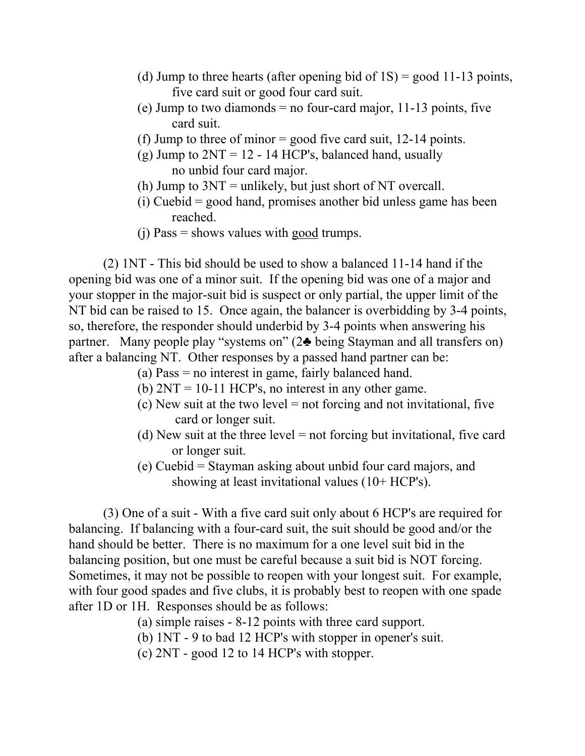- (d) Jump to three hearts (after opening bid of  $1S$ ) = good 11-13 points, five card suit or good four card suit.
- (e) Jump to two diamonds  $=$  no four-card major, 11-13 points, five card suit.
- (f) Jump to three of minor = good five card suit, 12-14 points.
- (g) Jump to  $2NT = 12 14$  HCP's, balanced hand, usually no unbid four card major.
- (h) Jump to  $3NT =$  unlikely, but just short of NT overcall.
- (i) Cuebid = good hand, promises another bid unless game has been reached.
- (j) Pass = shows values with good trumps.

(2) 1NT - This bid should be used to show a balanced 11-14 hand if the opening bid was one of a minor suit. If the opening bid was one of a major and your stopper in the major-suit bid is suspect or only partial, the upper limit of the NT bid can be raised to 15. Once again, the balancer is overbidding by 3-4 points, so, therefore, the responder should underbid by 3-4 points when answering his partner. Many people play "systems on" (2♣ being Stayman and all transfers on) after a balancing NT. Other responses by a passed hand partner can be:

- (a) Pass = no interest in game, fairly balanced hand.
- (b)  $2NT = 10-11$  HCP's, no interest in any other game.
- (c) New suit at the two level = not forcing and not invitational, five card or longer suit.
- (d) New suit at the three level = not forcing but invitational, five card or longer suit.
- (e) Cuebid = Stayman asking about unbid four card majors, and showing at least invitational values (10+ HCP's).

(3) One of a suit - With a five card suit only about 6 HCP's are required for balancing. If balancing with a four-card suit, the suit should be good and/or the hand should be better. There is no maximum for a one level suit bid in the balancing position, but one must be careful because a suit bid is NOT forcing. Sometimes, it may not be possible to reopen with your longest suit. For example, with four good spades and five clubs, it is probably best to reopen with one spade after 1D or 1H. Responses should be as follows:

- (a) simple raises 8-12 points with three card support.
- (b) 1NT 9 to bad 12 HCP's with stopper in opener's suit.
- (c) 2NT good 12 to 14 HCP's with stopper.